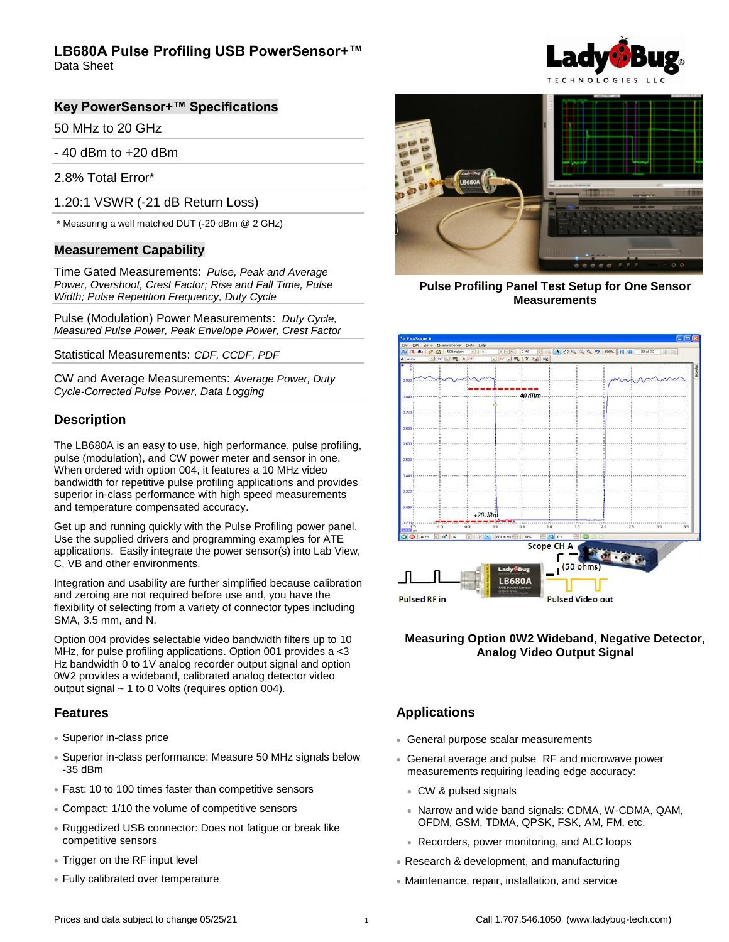Data Sheet

#### **Key PowerSensor+™ Specifications**

50 MHz to 20 GHz

- 40 dBm to +20 dBm

2.8% Total Error\*

1.20:1 VSWR (-21 dB Return Loss)

\* Measuring a well matched DUT (-20 dBm @ 2 GHz)

#### **Measurement Capability**

Time Gated Measurements: *Pulse, Peak and Average Power, Overshoot, Crest Factor; Rise and Fall Time, Pulse Width; Pulse Repetition Frequency, Duty Cycle*

Pulse (Modulation) Power Measurements: *Duty Cycle, Measured Pulse Power, Peak Envelope Power, Crest Factor* 

Statistical Measurements: *CDF, CCDF, PDF*

CW and Average Measurements: *Average Power, Duty Cycle-Corrected Pulse Power, Data Logging*

### **Description**

The LB680A is an easy to use, high performance, pulse profiling, pulse (modulation), and CW power meter and sensor in one. When ordered with option 004, it features a 10 MHz video bandwidth for repetitive pulse profiling applications and provides superior in-class performance with high speed measurements and temperature compensated accuracy.

Get up and running quickly with the Pulse Profiling power panel. Use the supplied drivers and programming examples for ATE applications. Easily integrate the power sensor(s) into Lab View, C, VB and other environments.

Integration and usability are further simplified because calibration and zeroing are not required before use and, you have the flexibility of selecting from a variety of connector types including SMA, 3.5 mm, and N.

Option 004 provides selectable video bandwidth filters up to 10 MHz, for pulse profiling applications. Option 001 provides a <3 Hz bandwidth 0 to 1V analog recorder output signal and option 0W2 provides a wideband, calibrated analog detector video output signal ~ 1 to 0 Volts (requires option 004).

#### **Features**

- Superior in-class price
- Superior in-class performance: Measure 50 MHz signals below -35 dBm
- Fast: 10 to 100 times faster than competitive sensors
- Compact: 1/10 the volume of competitive sensors
- Ruggedized USB connector: Does not fatigue or break like competitive sensors
- Trigger on the RF input level
- Fully calibrated over temperature





**Pulse Profiling Panel Test Setup for One Sensor Measurements**



#### **Measuring Option 0W2 Wideband, Negative Detector, Analog Video Output Signal**

### **Applications**

- General purpose scalar measurements
- General average and pulse RF and microwave power measurements requiring leading edge accuracy:
	- CW & pulsed signals
	- Narrow and wide band signals: CDMA, W-CDMA, QAM, OFDM, GSM, TDMA, QPSK, FSK, AM, FM, etc.
	- Recorders, power monitoring, and ALC loops
- Research & development, and manufacturing
- Maintenance, repair, installation, and service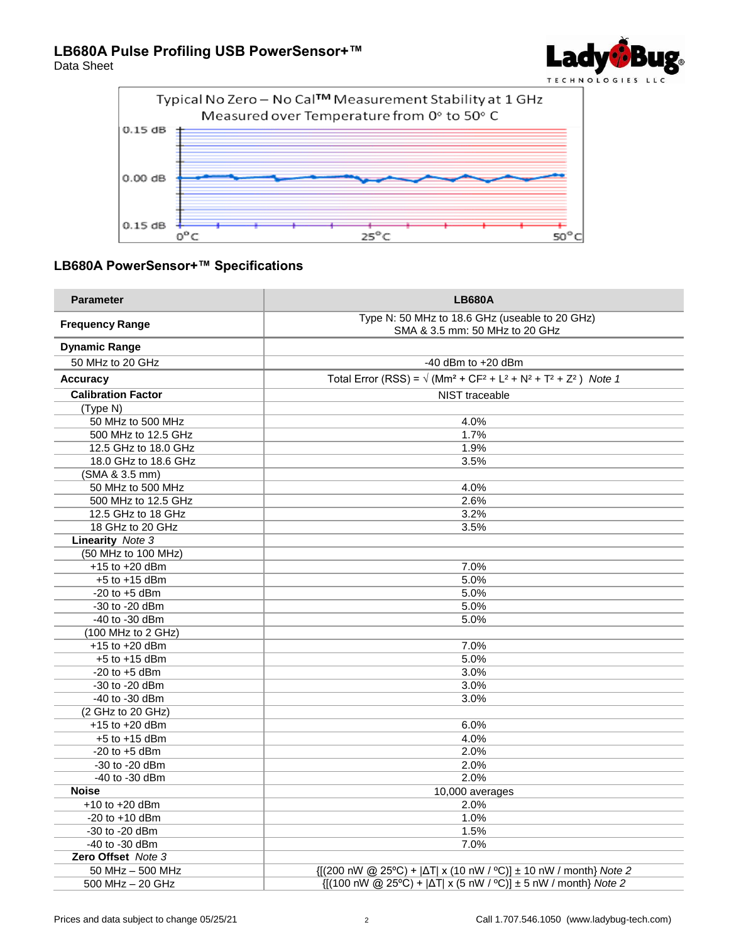





### **LB680A PowerSensor+™ Specifications**

| <b>Parameter</b>          | <b>LB680A</b>                                                                    |
|---------------------------|----------------------------------------------------------------------------------|
| <b>Frequency Range</b>    | Type N: 50 MHz to 18.6 GHz (useable to 20 GHz)<br>SMA & 3.5 mm: 50 MHz to 20 GHz |
| <b>Dynamic Range</b>      |                                                                                  |
| 50 MHz to 20 GHz          | $-40$ dBm to $+20$ dBm                                                           |
| <b>Accuracy</b>           | Total Error (RSS) = $\sqrt{(Mm^2 + CF^2 + L^2 + N^2 + T^2 + Z^2)}$ Note 1        |
| <b>Calibration Factor</b> | <b>NIST</b> traceable                                                            |
| (Type N)                  |                                                                                  |
| 50 MHz to 500 MHz         | 4.0%                                                                             |
| 500 MHz to 12.5 GHz       | 1.7%                                                                             |
| 12.5 GHz to 18.0 GHz      | 1.9%                                                                             |
| 18.0 GHz to 18.6 GHz      | 3.5%                                                                             |
| (SMA & 3.5 mm)            |                                                                                  |
| 50 MHz to 500 MHz         | 4.0%                                                                             |
| 500 MHz to 12.5 GHz       | 2.6%                                                                             |
| 12.5 GHz to 18 GHz        | 3.2%                                                                             |
| 18 GHz to 20 GHz          | 3.5%                                                                             |
| <b>Linearity</b> Note 3   |                                                                                  |
| (50 MHz to 100 MHz)       |                                                                                  |
| $+15$ to $+20$ dBm        | 7.0%                                                                             |
| $+5$ to $+15$ dBm         | 5.0%                                                                             |
| $-20$ to $+5$ dBm         | 5.0%                                                                             |
| $-30$ to $-20$ dBm        | 5.0%                                                                             |
| -40 to -30 dBm            | 5.0%                                                                             |
| $(100$ MHz to $2$ GHz)    |                                                                                  |
| $+15$ to $+20$ dBm        | 7.0%                                                                             |
| $+5$ to $+15$ dBm         | 5.0%                                                                             |
| $-20$ to $+5$ dBm         | 3.0%                                                                             |
| -30 to -20 dBm            | 3.0%                                                                             |
| -40 to -30 dBm            | 3.0%                                                                             |
| (2 GHz to 20 GHz)         |                                                                                  |
| $+15$ to $+20$ dBm        | 6.0%                                                                             |
| $+5$ to $+15$ dBm         | 4.0%                                                                             |
| $-20$ to $+5$ dBm         | 2.0%                                                                             |
| -30 to -20 dBm            | 2.0%                                                                             |
| -40 to -30 dBm            | 2.0%                                                                             |
| <b>Noise</b>              | 10,000 averages                                                                  |
| $+10$ to $+20$ dBm        | 2.0%                                                                             |
| $-20$ to $+10$ dBm        | 1.0%                                                                             |
| -30 to -20 dBm            | 1.5%                                                                             |
| -40 to -30 dBm            | 7.0%                                                                             |
| Zero Offset Note 3        |                                                                                  |
| 50 MHz - 500 MHz          | {[(200 nW @ 25°C) +  ΔT  x (10 nW / °C)] ± 10 nW / month} Note 2                 |
| 500 MHz - 20 GHz          | {[(100 nW @ 25°C) +  ΔT  x (5 nW / °C)] ± 5 nW / month} Note 2                   |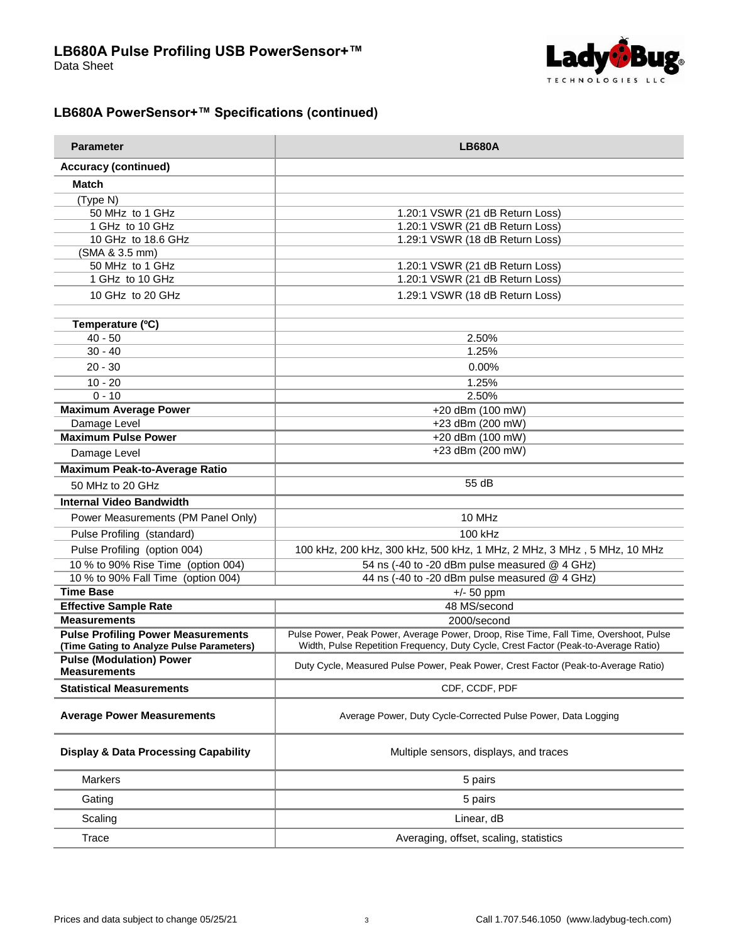

## **LB680A PowerSensor+™ Specifications (continued)**

| <b>Parameter</b>                                                                       | <b>LB680A</b>                                                                                                                                                                |
|----------------------------------------------------------------------------------------|------------------------------------------------------------------------------------------------------------------------------------------------------------------------------|
| <b>Accuracy (continued)</b>                                                            |                                                                                                                                                                              |
| <b>Match</b>                                                                           |                                                                                                                                                                              |
| (Type N)                                                                               |                                                                                                                                                                              |
| 50 MHz to 1 GHz                                                                        | 1.20:1 VSWR (21 dB Return Loss)                                                                                                                                              |
| 1 GHz to 10 GHz                                                                        | 1.20:1 VSWR (21 dB Return Loss)                                                                                                                                              |
| 10 GHz to 18.6 GHz                                                                     | 1.29:1 VSWR (18 dB Return Loss)                                                                                                                                              |
| (SMA & 3.5 mm)                                                                         |                                                                                                                                                                              |
| 50 MHz to 1 GHz                                                                        | 1.20:1 VSWR (21 dB Return Loss)                                                                                                                                              |
| 1 GHz to 10 GHz                                                                        | 1.20:1 VSWR (21 dB Return Loss)                                                                                                                                              |
| 10 GHz to 20 GHz                                                                       | 1.29:1 VSWR (18 dB Return Loss)                                                                                                                                              |
| Temperature (°C)                                                                       |                                                                                                                                                                              |
| $40 - 50$                                                                              | 2.50%                                                                                                                                                                        |
| $30 - 40$                                                                              | 1.25%                                                                                                                                                                        |
| $20 - 30$                                                                              | 0.00%                                                                                                                                                                        |
|                                                                                        |                                                                                                                                                                              |
| $10 - 20$                                                                              | 1.25%                                                                                                                                                                        |
| $0 - 10$                                                                               | 2.50%                                                                                                                                                                        |
| <b>Maximum Average Power</b>                                                           | +20 dBm (100 mW)                                                                                                                                                             |
| Damage Level<br><b>Maximum Pulse Power</b>                                             | +23 dBm (200 mW)<br>+20 dBm (100 mW)                                                                                                                                         |
| Damage Level                                                                           | +23 dBm (200 mW)                                                                                                                                                             |
|                                                                                        |                                                                                                                                                                              |
| <b>Maximum Peak-to-Average Ratio</b>                                                   | 55 dB                                                                                                                                                                        |
| 50 MHz to 20 GHz                                                                       |                                                                                                                                                                              |
| <b>Internal Video Bandwidth</b>                                                        |                                                                                                                                                                              |
| Power Measurements (PM Panel Only)                                                     | 10 MHz                                                                                                                                                                       |
| Pulse Profiling (standard)                                                             | 100 kHz                                                                                                                                                                      |
| Pulse Profiling (option 004)                                                           | 100 kHz, 200 kHz, 300 kHz, 500 kHz, 1 MHz, 2 MHz, 3 MHz, 5 MHz, 10 MHz                                                                                                       |
| 10 % to 90% Rise Time (option 004)                                                     | 54 ns (-40 to -20 dBm pulse measured @ 4 GHz)                                                                                                                                |
| 10 % to 90% Fall Time (option 004)                                                     | 44 ns (-40 to -20 dBm pulse measured @ 4 GHz)                                                                                                                                |
| <b>Time Base</b>                                                                       | $+/- 50$ ppm                                                                                                                                                                 |
| <b>Effective Sample Rate</b>                                                           | 48 MS/second                                                                                                                                                                 |
| <b>Measurements</b>                                                                    | 2000/second                                                                                                                                                                  |
| <b>Pulse Profiling Power Measurements</b><br>(Time Gating to Analyze Pulse Parameters) | Pulse Power, Peak Power, Average Power, Droop, Rise Time, Fall Time, Overshoot, Pulse<br>Width, Pulse Repetition Frequency, Duty Cycle, Crest Factor (Peak-to-Average Ratio) |
| <b>Pulse (Modulation) Power</b>                                                        |                                                                                                                                                                              |
| <b>Measurements</b>                                                                    | Duty Cycle, Measured Pulse Power, Peak Power, Crest Factor (Peak-to-Average Ratio)                                                                                           |
| <b>Statistical Measurements</b>                                                        | CDF, CCDF, PDF                                                                                                                                                               |
| <b>Average Power Measurements</b>                                                      | Average Power, Duty Cycle-Corrected Pulse Power, Data Logging                                                                                                                |
| <b>Display &amp; Data Processing Capability</b>                                        | Multiple sensors, displays, and traces                                                                                                                                       |
| <b>Markers</b>                                                                         | 5 pairs                                                                                                                                                                      |
| Gating                                                                                 | 5 pairs                                                                                                                                                                      |
| Scaling                                                                                | Linear, dB                                                                                                                                                                   |
| Trace                                                                                  | Averaging, offset, scaling, statistics                                                                                                                                       |
|                                                                                        |                                                                                                                                                                              |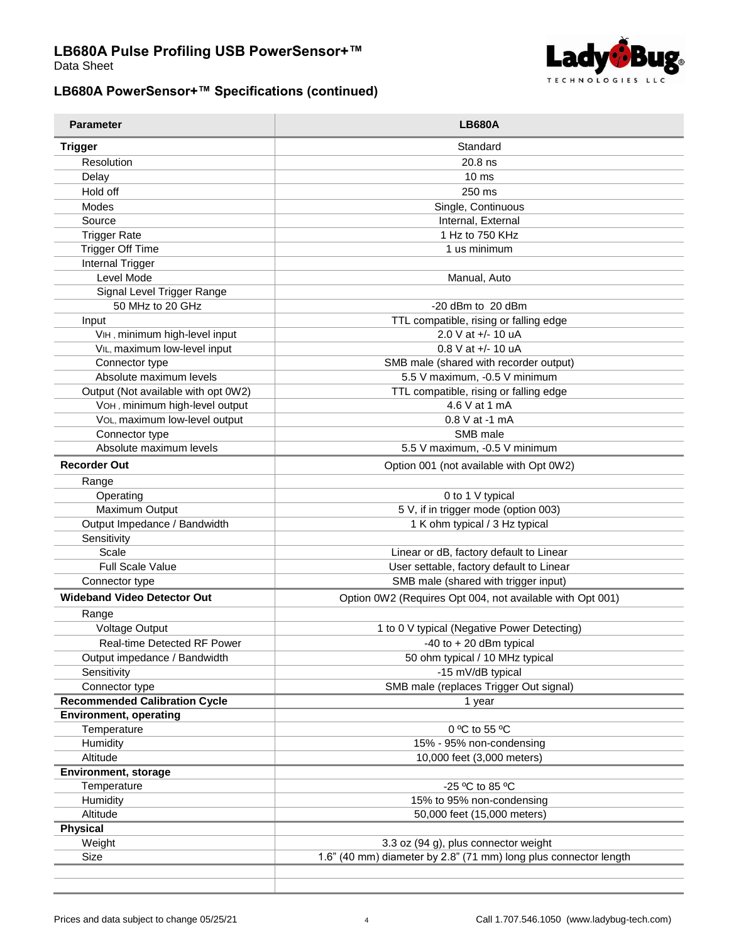

Data Sheet

## **LB680A PowerSensor+™ Specifications (continued)**

| <b>Parameter</b>                     | <b>LB680A</b>                                                    |
|--------------------------------------|------------------------------------------------------------------|
| <b>Trigger</b>                       | Standard                                                         |
| Resolution                           | $20.8$ ns                                                        |
| Delay                                | 10 <sub>ms</sub>                                                 |
| Hold off                             | 250 ms                                                           |
| Modes                                | Single, Continuous                                               |
| Source                               | Internal, External                                               |
| <b>Trigger Rate</b>                  | 1 Hz to 750 KHz                                                  |
| <b>Trigger Off Time</b>              | 1 us minimum                                                     |
| Internal Trigger                     |                                                                  |
| Level Mode                           | Manual, Auto                                                     |
| Signal Level Trigger Range           |                                                                  |
| 50 MHz to 20 GHz                     | -20 dBm to 20 dBm                                                |
| Input                                | TTL compatible, rising or falling edge                           |
| VIH, minimum high-level input        | 2.0 V at +/- 10 uA                                               |
| VIL, maximum low-level input         | $0.8$ V at $+/- 10$ uA                                           |
| Connector type                       | SMB male (shared with recorder output)                           |
| Absolute maximum levels              | 5.5 V maximum, -0.5 V minimum                                    |
| Output (Not available with opt 0W2)  | TTL compatible, rising or falling edge                           |
| VOH, minimum high-level output       | 4.6 V at 1 mA                                                    |
| VOL, maximum low-level output        | 0.8 V at -1 mA                                                   |
| Connector type                       | SMB male                                                         |
| Absolute maximum levels              | 5.5 V maximum, -0.5 V minimum                                    |
| <b>Recorder Out</b>                  |                                                                  |
|                                      | Option 001 (not available with Opt 0W2)                          |
| Range                                |                                                                  |
| Operating                            | 0 to 1 V typical                                                 |
| Maximum Output                       | 5 V, if in trigger mode (option 003)                             |
| Output Impedance / Bandwidth         | 1 K ohm typical / 3 Hz typical                                   |
| Sensitivity                          |                                                                  |
| Scale                                | Linear or dB, factory default to Linear                          |
| <b>Full Scale Value</b>              | User settable, factory default to Linear                         |
| Connector type                       | SMB male (shared with trigger input)                             |
| <b>Wideband Video Detector Out</b>   | Option 0W2 (Requires Opt 004, not available with Opt 001)        |
| Range                                |                                                                  |
| Voltage Output                       | 1 to 0 V typical (Negative Power Detecting)                      |
| <b>Real-time Detected RF Power</b>   | -40 to $+20$ dBm typical                                         |
| Output impedance / Bandwidth         | 50 ohm typical / 10 MHz typical                                  |
| Sensitivity                          | -15 mV/dB typical                                                |
| Connector type                       | SMB male (replaces Trigger Out signal)                           |
| <b>Recommended Calibration Cycle</b> | 1 year                                                           |
| <b>Environment, operating</b>        |                                                                  |
| Temperature                          | 0 °C to 55 °C                                                    |
| Humidity                             | 15% - 95% non-condensing                                         |
| Altitude                             | 10,000 feet (3,000 meters)                                       |
| Environment, storage                 |                                                                  |
| Temperature                          | -25 °C to 85 °C                                                  |
| Humidity                             | 15% to 95% non-condensing                                        |
| Altitude                             | 50,000 feet (15,000 meters)                                      |
| Physical                             |                                                                  |
| Weight                               | 3.3 oz (94 g), plus connector weight                             |
| Size                                 | 1.6" (40 mm) diameter by 2.8" (71 mm) long plus connector length |
|                                      |                                                                  |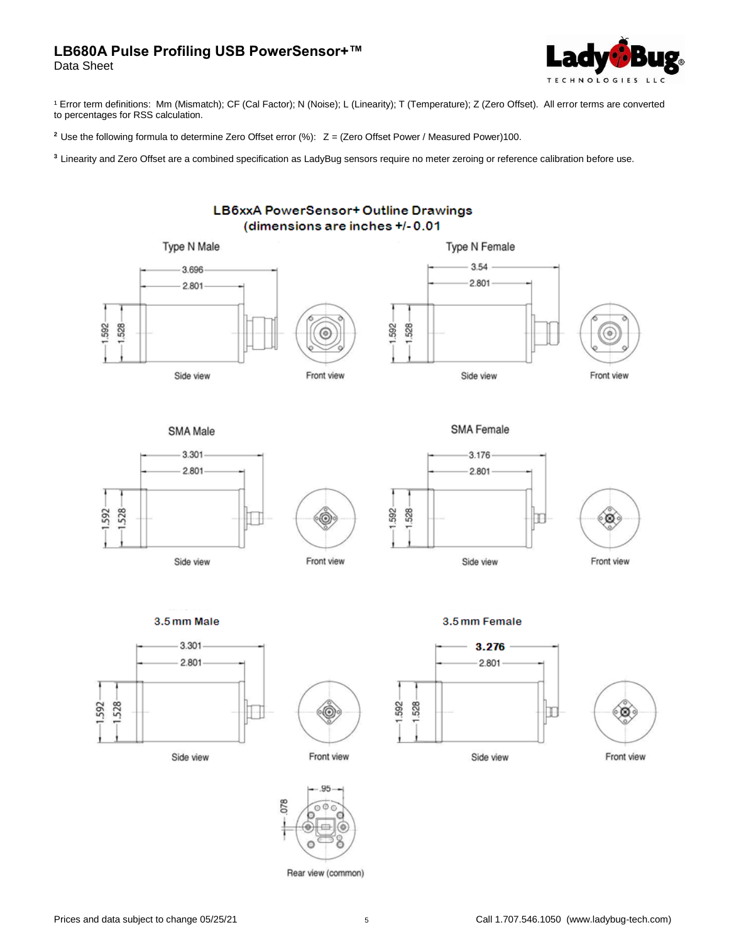Data Sheet



<sup>1</sup> Error term definitions: Mm (Mismatch); CF (Cal Factor); N (Noise); L (Linearity); T (Temperature); Z (Zero Offset). All error terms are converted to percentages for RSS calculation.

**<sup>2</sup>**Use the following formula to determine Zero Offset error (%): Z = (Zero Offset Power / Measured Power)100.

**3** Linearity and Zero Offset are a combined specification as LadyBug sensors require no meter zeroing or reference calibration before use.



Rear view (common)